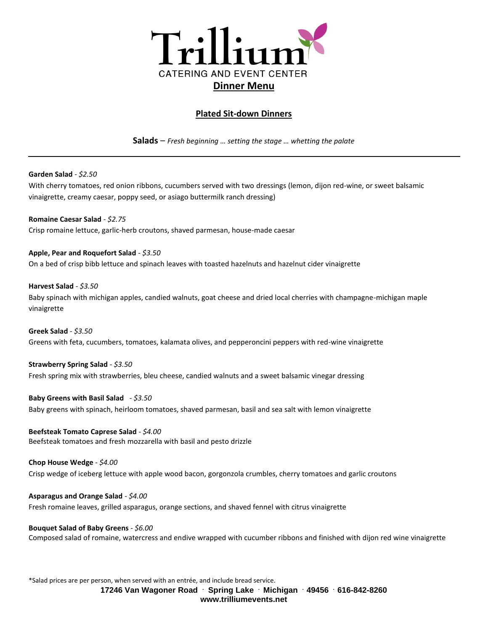

# **Plated Sit-down Dinners**

**Salads** – *Fresh beginning … setting the stage … whetting the palate*

**Garden Salad** - *\$2.50*

With cherry tomatoes, red onion ribbons, cucumbers served with two dressings (lemon, dijon red-wine, or sweet balsamic vinaigrette, creamy caesar, poppy seed, or asiago buttermilk ranch dressing)

**Romaine Caesar Salad** - *\$2.75* Crisp romaine lettuce, garlic-herb croutons, shaved parmesan, house-made caesar

**Apple, Pear and Roquefort Salad** - *\$3.50* On a bed of crisp bibb lettuce and spinach leaves with toasted hazelnuts and hazelnut cider vinaigrette

**Harvest Salad** - *\$3.50* Baby spinach with michigan apples, candied walnuts, goat cheese and dried local cherries with champagne-michigan maple vinaigrette

**Greek Salad** - *\$3.50* Greens with feta, cucumbers, tomatoes, kalamata olives, and pepperoncini peppers with red-wine vinaigrette

**Strawberry Spring Salad** - *\$3.50* Fresh spring mix with strawberries, bleu cheese, candied walnuts and a sweet balsamic vinegar dressing

**Baby Greens with Basil Salad** - *\$3.50* Baby greens with spinach, heirloom tomatoes, shaved parmesan, basil and sea salt with lemon vinaigrette

**Beefsteak Tomato Caprese Salad** - *\$4.00* Beefsteak tomatoes and fresh mozzarella with basil and pesto drizzle

**Chop House Wedge** - *\$4.00* Crisp wedge of iceberg lettuce with apple wood bacon, gorgonzola crumbles, cherry tomatoes and garlic croutons

**Asparagus and Orange Salad** - *\$4.00* Fresh romaine leaves, grilled asparagus, orange sections, and shaved fennel with citrus vinaigrette

**Bouquet Salad of Baby Greens** - *\$6.00* Composed salad of romaine, watercress and endive wrapped with cucumber ribbons and finished with dijon red wine vinaigrette

\*Salad prices are per person, when served with an entrée, and include bread service.

**17246 Van Wagoner Road . Spring Lake . Michigan . 49456 . 616-842-8260 www.trilliumevents.net**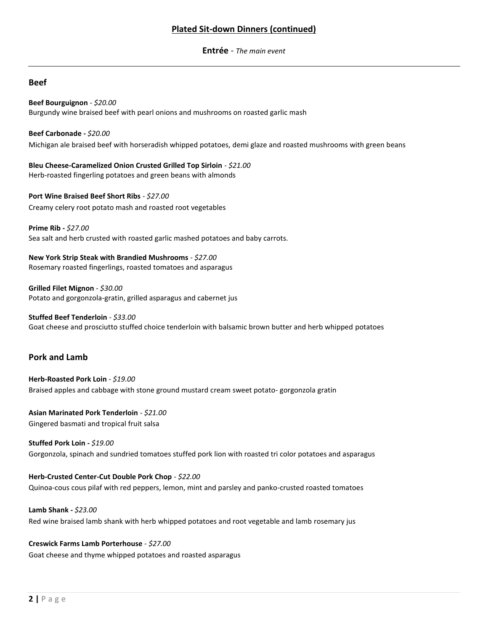# **Plated Sit-down Dinners (continued)**

**Entrée** - *The main event*

## **Beef**

**Beef Bourguignon** - *\$20.00* Burgundy wine braised beef with pearl onions and mushrooms on roasted garlic mash

**Beef Carbonade -** *\$20.00* Michigan ale braised beef with horseradish whipped potatoes, demi glaze and roasted mushrooms with green beans

**Bleu Cheese-Caramelized Onion Crusted Grilled Top Sirloin** - *\$21.00* Herb-roasted fingerling potatoes and green beans with almonds

**Port Wine Braised Beef Short Ribs** *- \$27.00* Creamy celery root potato mash and roasted root vegetables

**Prime Rib -** *\$27.00* Sea salt and herb crusted with roasted garlic mashed potatoes and baby carrots.

**New York Strip Steak with Brandied Mushrooms** - *\$27.00* Rosemary roasted fingerlings, roasted tomatoes and asparagus

**Grilled Filet Mignon** - *\$30.00* Potato and gorgonzola-gratin, grilled asparagus and cabernet jus

**Stuffed Beef Tenderloin** - *\$33.00* Goat cheese and prosciutto stuffed choice tenderloin with balsamic brown butter and herb whipped potatoes

# **Pork and Lamb**

**Herb-Roasted Pork Loin** - *\$19.00* Braised apples and cabbage with stone ground mustard cream sweet potato- gorgonzola gratin

**Asian Marinated Pork Tenderloin** - *\$21.00* Gingered basmati and tropical fruit salsa

**Stuffed Pork Loin -** *\$19.00* Gorgonzola, spinach and sundried tomatoes stuffed pork lion with roasted tri color potatoes and asparagus

**Herb-Crusted Center-Cut Double Pork Chop** - *\$22.00* Quinoa-cous cous pilaf with red peppers, lemon, mint and parsley and panko-crusted roasted tomatoes

**Lamb Shank -** *\$23.00* Red wine braised lamb shank with herb whipped potatoes and root vegetable and lamb rosemary jus

**Creswick Farms Lamb Porterhouse** - *\$27.00* Goat cheese and thyme whipped potatoes and roasted asparagus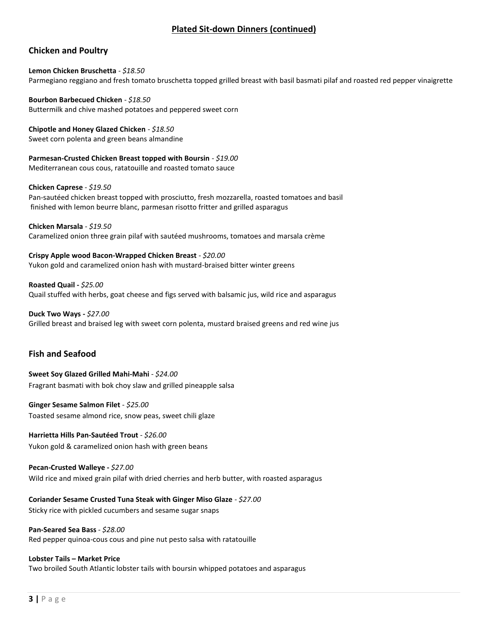# **Plated Sit-down Dinners (continued)**

## **Chicken and Poultry**

**Lemon Chicken Bruschetta** - *\$18.50* Parmegiano reggiano and fresh tomato bruschetta topped grilled breast with basil basmati pilaf and roasted red pepper vinaigrette

**Bourbon Barbecued Chicken** - *\$18.50* Buttermilk and chive mashed potatoes and peppered sweet corn

**Chipotle and Honey Glazed Chicken** - *\$18.50* Sweet corn polenta and green beans almandine

**Parmesan-Crusted Chicken Breast topped with Boursin** - *\$19.00* Mediterranean cous cous, ratatouille and roasted tomato sauce

**Chicken Caprese** - *\$19.50*

Pan-sautéed chicken breast topped with prosciutto, fresh mozzarella, roasted tomatoes and basil finished with lemon beurre blanc, parmesan risotto fritter and grilled asparagus

**Chicken Marsala** - *\$19.50*

Caramelized onion three grain pilaf with sautéed mushrooms, tomatoes and marsala crème

**Crispy Apple wood Bacon-Wrapped Chicken Breast** *- \$20.00* Yukon gold and caramelized onion hash with mustard-braised bitter winter greens

**Roasted Quail -** *\$25.00* Quail stuffed with herbs, goat cheese and figs served with balsamic jus, wild rice and asparagus

**Duck Two Ways -** *\$27.00* Grilled breast and braised leg with sweet corn polenta, mustard braised greens and red wine jus

## **Fish and Seafood**

**Sweet Soy Glazed Grilled Mahi-Mahi** *- \$24.00* Fragrant basmati with bok choy slaw and grilled pineapple salsa

**Ginger Sesame Salmon Filet** - *\$25.00* Toasted sesame almond rice, snow peas, sweet chili glaze

**Harrietta Hills Pan-Sautéed Trout** - *\$26.00* Yukon gold & caramelized onion hash with green beans

**Pecan-Crusted Walleye -** *\$27.00* Wild rice and mixed grain pilaf with dried cherries and herb butter, with roasted asparagus

**Coriander Sesame Crusted Tuna Steak with Ginger Miso Glaze** - *\$27.00*

Sticky rice with pickled cucumbers and sesame sugar snaps

**Pan-Seared Sea Bass** - *\$28.00*

Red pepper quinoa-cous cous and pine nut pesto salsa with ratatouille

#### **Lobster Tails – Market Price**

Two broiled South Atlantic lobster tails with boursin whipped potatoes and asparagus